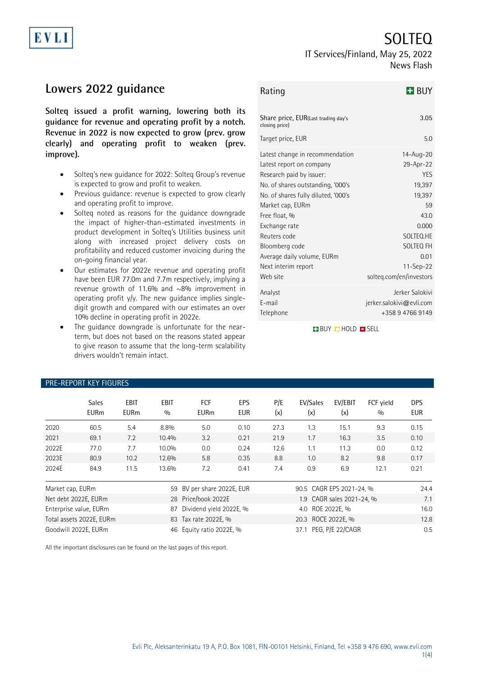# SOLTEQ

### IT Services/Finland, May 25, 2022 News Flash

# **Lowers 2022 guidance**

EVL

**Solteq issued a profit warning, lowering both its guidance for revenue and operating profit by a notch. Revenue in 2022 is now expected to grow (prev. grow clearly) and operating profit to weaken (prev. improve).**

- Solteq's new guidance for 2022: Solteq Group's revenue is expected to grow and profit to weaken.
- Previous guidance: revenue is expected to grow clearly and operating profit to improve.
- Solteq noted as reasons for the guidance downgrade the impact of higher-than-estimated investments in product development in Solteq's Utilities business unit along with increased project delivery costs on profitability and reduced customer invoicing during the on-going financial year.
- Our estimates for 2022e revenue and operating profit have been EUR 77.0m and 7.7m respectively, implying a revenue growth of 11.6% and ~8% improvement in operating profit y/y. The new guidance implies singledigit growth and compared with our estimates an over 10% decline in operating profit in 2022e.
- The guidance downgrade is unfortunate for the nearterm, but does not based on the reasons stated appear to give reason to assume that the long-term scalability drivers wouldn't remain intact.

| Rating                                                                                                                                                                                                                                                                                                                       | $H$ BUY                                                                                                                                                                 |
|------------------------------------------------------------------------------------------------------------------------------------------------------------------------------------------------------------------------------------------------------------------------------------------------------------------------------|-------------------------------------------------------------------------------------------------------------------------------------------------------------------------|
| Share price, EUR(Last trading day's<br>closing price)                                                                                                                                                                                                                                                                        | 3.05                                                                                                                                                                    |
| Target price, EUR                                                                                                                                                                                                                                                                                                            | 5.0                                                                                                                                                                     |
| Latest change in recommendation<br>Latest report on company<br>Research paid by issuer:<br>No. of shares outstanding, '000's<br>No. of shares fully diluted, '000's<br>Market cap, EURm<br>Free float, %<br>Exchange rate<br>Reuters code<br>Bloomberg code<br>Average daily volume, EURm<br>Next interim report<br>Web site | 14-Aug-20<br>29-Apr-22<br><b>YES</b><br>19,397<br>19,397<br>59<br>43.0<br>0.000<br>SOLTEO.HE<br><b>SOLTEO FH</b><br>0.01<br>$11 -$ Sep $-22$<br>solteq.com/en/investors |
| Analyst<br>F-mail<br>Telephone                                                                                                                                                                                                                                                                                               | Jerker Salokivi<br>jerker.salokivi@evli.com<br>+358 9 4766 9149                                                                                                         |

**BUY CHOLD FISELL** 

|                              | <b>Sales</b><br><b>EURm</b> | <b>EBIT</b><br><b>EURm</b> | <b>EBIT</b><br>0/0       | <b>FCF</b><br><b>EURm</b> | EPS<br>EUR | P/E<br>(x)                | EV/Sales<br>(x)  | EV/EBIT<br>(x) | FCF vield<br>0/0 | <b>DPS</b><br><b>EUR</b> |
|------------------------------|-----------------------------|----------------------------|--------------------------|---------------------------|------------|---------------------------|------------------|----------------|------------------|--------------------------|
| 2020                         | 60.5                        | 5.4                        | 8.8%                     | 5.0                       | 0.10       | 27.3                      | 1.3              | 15.1           | 9.3              | 0.15                     |
| 2021                         | 69.1                        | 7.2                        | 10.4%                    | 3.2                       | 0.21       | 21.9                      | 1.7              | 16.3           | 3.5              | 0.10                     |
| 2022E                        | 77.0                        | 7.7                        | 10.0%                    | 0.0                       | 0.24       | 12.6                      | 1.1              | 11.3           | 0.0              | 0.12                     |
| 2023E                        | 80.9                        | 10.2                       | 12.6%                    | 5.8                       | 0.35       | 8.8                       | 1.0              | 8.2            | 9.8              | 0.17                     |
| 2024E                        | 84.9                        | 11.5                       | 13.6%                    | 7.2                       | 0.41       | 7.4                       | 0.9              | 6.9            | 12.1             | 0.21                     |
| Market cap, EURm<br>59       |                             |                            | BV per share 2022E, EUR  |                           |            | 90.5 CAGR EPS 2021-24, %  |                  |                | 24.4             |                          |
| Net debt 2022E, EURm<br>28   |                             |                            | Price/book 2022E         |                           |            | 1.9 CAGR sales 2021-24, % |                  |                | 7.1              |                          |
| Enterprise value, EURm<br>87 |                             |                            | Dividend yield 2022E, %  |                           |            | 4.0 ROE 2022E, %          |                  |                | 16.0             |                          |
| Total assets 2022E, EURm     |                             |                            | 83 Tax rate 2022E, %     |                           |            | 20.3 ROCE 2022E, %        |                  |                | 12.8             |                          |
| Goodwill 2022E, EURm         |                             |                            | 46 Equity ratio 2022E, % |                           |            | 37.1                      | PEG, P/E 22/CAGR |                | 0.5              |                          |

### PRE-REPORT KEY FIGURES

All the important disclosures can be found on the last pages of this report.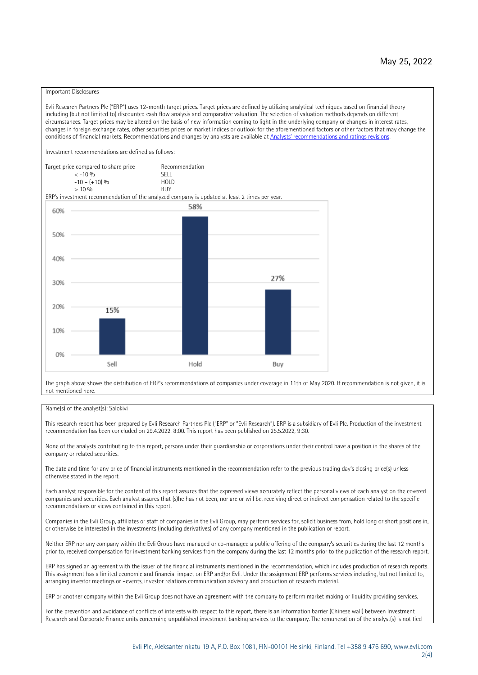#### Important Disclosures

Evli Research Partners Plc ("ERP") uses 12-month target prices. Target prices are defined by utilizing analytical techniques based on financial theory including (but not limited to) discounted cash flow analysis and comparative valuation. The selection of valuation methods depends on different circumstances. Target prices may be altered on the basis of new information coming to light in the underlying company or changes in interest rates, changes in foreign exchange rates, other securities prices or market indices or outlook for the aforementioned factors or other factors that may change the conditions of financial markets. Recommendations and changes by analysts are available at [Analysts' recommendations and ratings revisions](https://research.evli.com/JasperAllModels.action?authParam=key;461&authParam=x;G3rNagWrtf7K&authType=3). Investment recommendations are defined as follows: Target price compared to share price Recommendation<br> $\leq 10\%$  $\langle 5, 10, 10 \rangle$  SELL<br>  $\langle -10, 6, 10 \rangle$  SELL<br>  $\langle 10, 10, 10 \rangle$  $-10 - (+10) \%$  HOLD<br>> 10 % BUY  $> 10\%$ ERP's investment recommendation of the analyzed company is updated at least 2 times per year. 58% 60% 50% 40% 27% 30% 20% 15% 10% 0% Sell Hold Buy

The graph above shows the distribution of ERP's recommendations of companies under coverage in 11th of May 2020. If recommendation is not given, it is not mentioned here.

#### Name(s) of the analyst(s): Salokivi

This research report has been prepared by Evli Research Partners Plc ("ERP" or "Evli Research"). ERP is a subsidiary of Evli Plc. Production of the investment recommendation has been concluded on 29.4.2022, 8:00. This report has been published on 25.5.2022, 9:30.

None of the analysts contributing to this report, persons under their guardianship or corporations under their control have a position in the shares of the company or related securities.

The date and time for any price of financial instruments mentioned in the recommendation refer to the previous trading day's closing price(s) unless otherwise stated in the report.

Each analyst responsible for the content of this report assures that the expressed views accurately reflect the personal views of each analyst on the covered companies and securities. Each analyst assures that (s)he has not been, nor are or will be, receiving direct or indirect compensation related to the specific recommendations or views contained in this report.

Companies in the Evli Group, affiliates or staff of companies in the Evli Group, may perform services for, solicit business from, hold long or short positions in, or otherwise be interested in the investments (including derivatives) of any company mentioned in the publication or report.

Neither ERP nor any company within the Evli Group have managed or co-managed a public offering of the company's securities during the last 12 months prior to, received compensation for investment banking services from the company during the last 12 months prior to the publication of the research report.

ERP has signed an agreement with the issuer of the financial instruments mentioned in the recommendation, which includes production of research reports. This assignment has a limited economic and financial impact on ERP and/or Evli. Under the assignment ERP performs services including, but not limited to, arranging investor meetings or –events, investor relations communication advisory and production of research material.

ERP or another company within the Evli Group does not have an agreement with the company to perform market making or liquidity providing services.

For the prevention and avoidance of conflicts of interests with respect to this report, there is an information barrier (Chinese wall) between Investment Research and Corporate Finance units concerning unpublished investment banking services to the company. The remuneration of the analyst(s) is not tied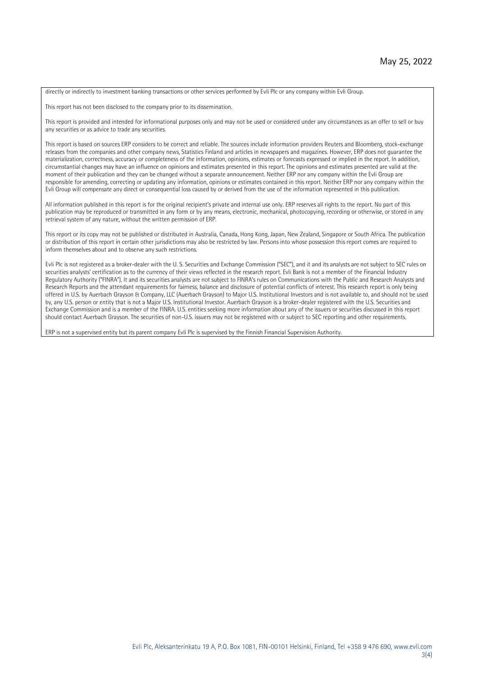directly or indirectly to investment banking transactions or other services performed by Evli Plc or any company within Evli Group.

This report has not been disclosed to the company prior to its dissemination.

This report is provided and intended for informational purposes only and may not be used or considered under any circumstances as an offer to sell or buy any securities or as advice to trade any securities.

This report is based on sources ERP considers to be correct and reliable. The sources include information providers Reuters and Bloomberg, stock-exchange releases from the companies and other company news, Statistics Finland and articles in newspapers and magazines. However, ERP does not guarantee the materialization, correctness, accuracy or completeness of the information, opinions, estimates or forecasts expressed or implied in the report. In addition, circumstantial changes may have an influence on opinions and estimates presented in this report. The opinions and estimates presented are valid at the moment of their publication and they can be changed without a separate announcement. Neither ERP nor any company within the Evli Group are responsible for amending, correcting or updating any information, opinions or estimates contained in this report. Neither ERP nor any company within the Evli Group will compensate any direct or consequential loss caused by or derived from the use of the information represented in this publication.

All information published in this report is for the original recipient's private and internal use only. ERP reserves all rights to the report. No part of this publication may be reproduced or transmitted in any form or by any means, electronic, mechanical, photocopying, recording or otherwise, or stored in any retrieval system of any nature, without the written permission of ERP.

This report or its copy may not be published or distributed in Australia, Canada, Hong Kong, Japan, New Zealand, Singapore or South Africa. The publication or distribution of this report in certain other jurisdictions may also be restricted by law. Persons into whose possession this report comes are required to inform themselves about and to observe any such restrictions.

Evli Plc is not registered as a broker-dealer with the U. S. Securities and Exchange Commission ("SEC"), and it and its analysts are not subject to SEC rules on securities analysts' certification as to the currency of their views reflected in the research report. Evli Bank is not a member of the Financial Industry Regulatory Authority ("FINRA"). It and its securities analysts are not subject to FINRA's rules on Communications with the Public and Research Analysts and Research Reports and the attendant requirements for fairness, balance and disclosure of potential conflicts of interest. This research report is only being offered in U.S. by Auerbach Grayson & Company, LLC (Auerbach Grayson) to Major U.S. Institutional Investors and is not available to, and should not be used by, any U.S. person or entity that is not a Major U.S. Institutional Investor. Auerbach Grayson is a broker-dealer registered with the U.S. Securities and Exchange Commission and is a member of the FINRA. U.S. entities seeking more information about any of the issuers or securities discussed in this report should contact Auerbach Grayson. The securities of non-U.S. issuers may not be registered with or subject to SEC reporting and other requirements.

ERP is not a supervised entity but its parent company Evli Plc is supervised by the Finnish Financial Supervision Authority.